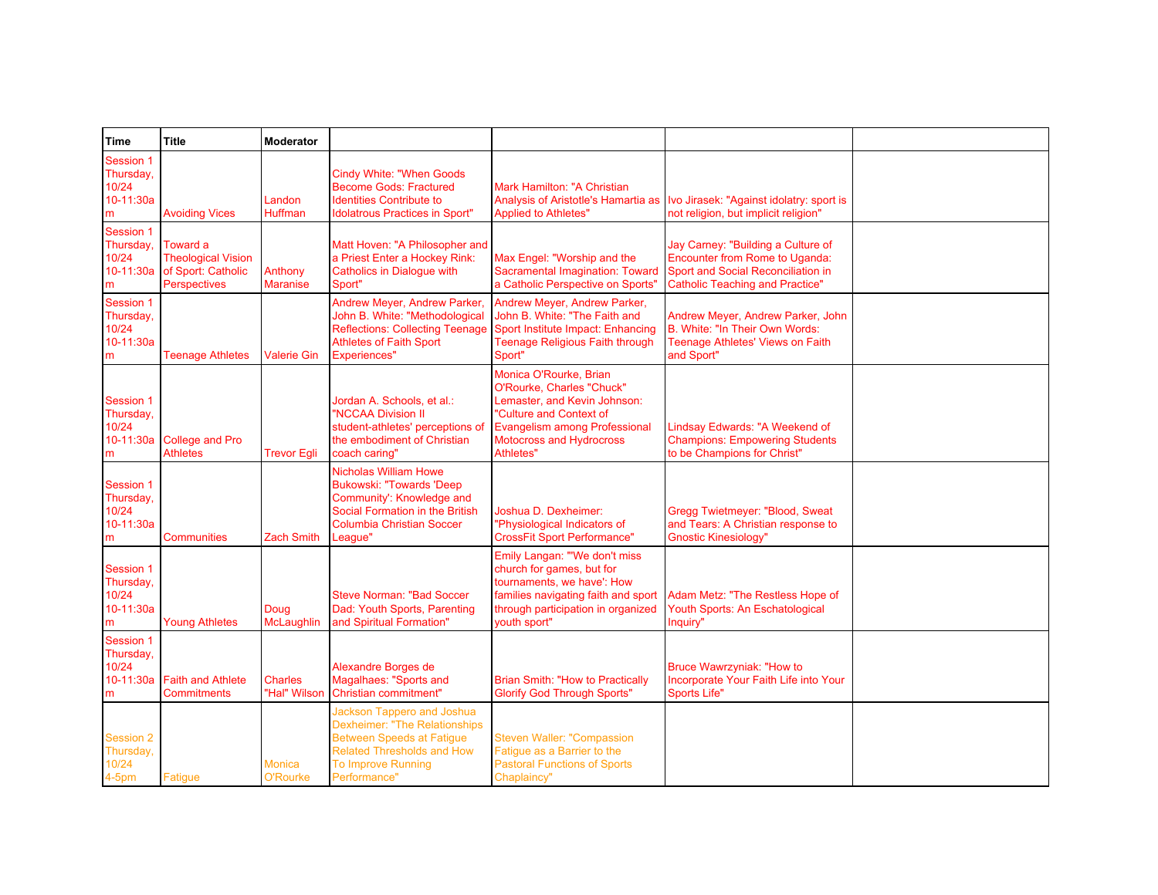| Time                                                     | Title                                                                              | <b>Moderator</b>               |                                                                                                                                                                                          |                                                                                                                                                                                                 |                                                                                                                                                      |  |
|----------------------------------------------------------|------------------------------------------------------------------------------------|--------------------------------|------------------------------------------------------------------------------------------------------------------------------------------------------------------------------------------|-------------------------------------------------------------------------------------------------------------------------------------------------------------------------------------------------|------------------------------------------------------------------------------------------------------------------------------------------------------|--|
| <b>Session 1</b><br>Thursday,<br>10/24<br>10-11:30a<br>m | <b>Avoiding Vices</b>                                                              | Landon<br>Huffman              | <b>Cindy White: "When Goods</b><br><b>Become Gods: Fractured</b><br><b>Identities Contribute to</b><br><b>Idolatrous Practices in Sport"</b>                                             | Mark Hamilton: "A Christian<br><b>Applied to Athletes"</b>                                                                                                                                      | Analysis of Aristotle's Hamartia as Ivo Jirasek: "Against idolatry: sport is<br>not religion, but implicit religion"                                 |  |
| Session 1<br>Thursday,<br>10/24<br>10-11:30a<br>m        | Toward a<br><b>Theological Vision</b><br>of Sport: Catholic<br><b>Perspectives</b> | Anthony<br><b>Maranise</b>     | Matt Hoven: "A Philosopher and<br>a Priest Enter a Hockey Rink:<br><b>Catholics in Dialogue with</b><br>Sport"                                                                           | Max Engel: "Worship and the<br>Sacramental Imagination: Toward<br>a Catholic Perspective on Sports"                                                                                             | Jay Carney: "Building a Culture of<br>Encounter from Rome to Uganda:<br>Sport and Social Reconciliation in<br><b>Catholic Teaching and Practice"</b> |  |
| Session 1<br>Thursday,<br>10/24<br>10-11:30a<br>m        | <b>Teenage Athletes</b>                                                            | Valerie Gin                    | Andrew Meyer, Andrew Parker,<br>John B. White: "Methodological<br><b>Reflections: Collecting Teenage</b><br><b>Athletes of Faith Sport</b><br><b>Experiences"</b>                        | Andrew Meyer, Andrew Parker,<br>John B. White: "The Faith and<br>Sport Institute Impact: Enhancing<br>Teenage Religious Faith through<br>Sport"                                                 | Andrew Meyer, Andrew Parker, John<br>B. White: "In Their Own Words:<br>Teenage Athletes' Views on Faith<br>and Sport"                                |  |
| Session 1<br>Thursday,<br>10/24<br>10-11:30a<br>m        | <b>College and Pro</b><br><b>Athletes</b>                                          | <b>Trevor Egli</b>             | Jordan A. Schools, et al.:<br>"NCCAA Division II<br>student-athletes' perceptions of<br>the embodiment of Christian<br>coach caring"                                                     | Monica O'Rourke, Brian<br>O'Rourke, Charles "Chuck"<br>Lemaster, and Kevin Johnson:<br>"Culture and Context of<br><b>Evangelism among Professional</b><br>Motocross and Hydrocross<br>Athletes" | Lindsay Edwards: "A Weekend of<br><b>Champions: Empowering Students</b><br>to be Champions for Christ"                                               |  |
| Session 1<br>Thursday,<br>10/24<br>10-11:30a<br>m        | Communities                                                                        | <b>Zach Smith</b>              | <b>Nicholas William Howe</b><br><b>Bukowski: "Towards 'Deep</b><br>Community': Knowledge and<br>Social Formation in the British<br><b>Columbia Christian Soccer</b><br>League"           | Joshua D. Dexheimer:<br>"Physiological Indicators of<br><b>CrossFit Sport Performance"</b>                                                                                                      | Gregg Twietmeyer: "Blood, Sweat<br>and Tears: A Christian response to<br><b>Gnostic Kinesiology"</b>                                                 |  |
| Session 1<br>Thursday,<br>10/24<br>10-11:30a<br>m        | Young Athletes                                                                     | Doug<br><b>McLaughlin</b>      | <b>Steve Norman: "Bad Soccer</b><br>Dad: Youth Sports, Parenting<br>and Spiritual Formation"                                                                                             | Emily Langan: "'We don't miss<br>church for games, but for<br>tournaments, we have': How<br>families navigating faith and sport<br>through participation in organized<br>youth sport"           | Adam Metz: "The Restless Hope of<br>Youth Sports: An Eschatological<br>Inquiry"                                                                      |  |
| Session 1<br>Thursday,<br>10/24<br>10-11:30a<br>m        | <b>Faith and Athlete</b><br>Commitments                                            | <b>Charles</b><br>"Hal" Wilson | Alexandre Borges de<br>Magalhaes: "Sports and<br>Christian commitment"                                                                                                                   | <b>Brian Smith: "How to Practically</b><br><b>Glorify God Through Sports"</b>                                                                                                                   | Bruce Wawrzyniak: "How to<br>Incorporate Your Faith Life into Your<br><b>Sports Life"</b>                                                            |  |
| <b>Session 2</b><br>Thursday,<br>10/24<br>$4-5pm$        | Fatique                                                                            | Monica<br>O'Rourke             | Jackson Tappero and Joshua<br><b>Dexheimer: "The Relationships</b><br><b>Between Speeds at Fatigue</b><br><b>Related Thresholds and How</b><br><b>To Improve Running</b><br>Performance" | <b>Steven Waller: "Compassion</b><br>Fatigue as a Barrier to the<br><b>Pastoral Functions of Sports</b><br>Chaplaincy"                                                                          |                                                                                                                                                      |  |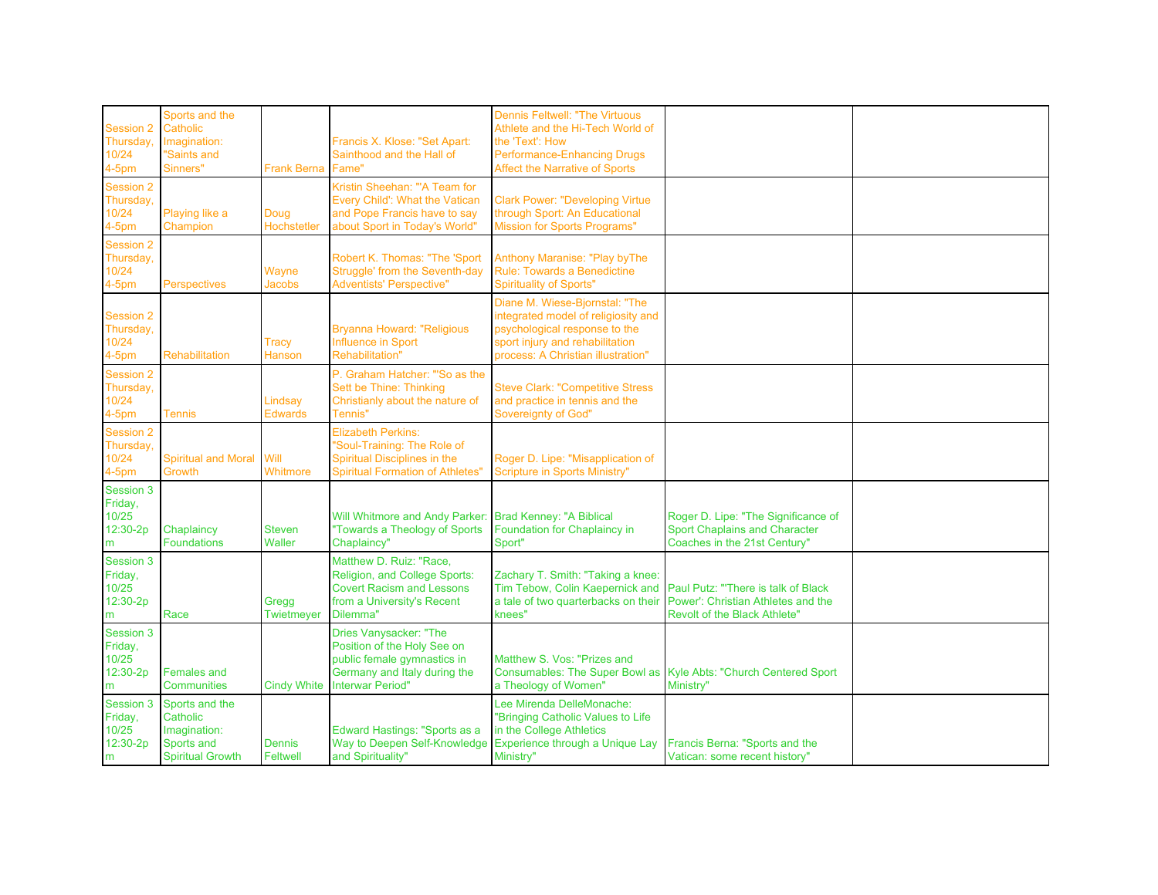| <b>Session 2</b><br>Thursday,<br>10/24<br>$4-5pm$     | Sports and the<br>Catholic<br>Imagination:<br><b>Saints and</b><br>Sinners"         | Frank Berna               | Francis X. Klose: "Set Apart:<br>Sainthood and the Hall of<br>Fame"                                                                             | <b>Dennis Feltwell: "The Virtuous</b><br>Athlete and the Hi-Tech World of<br>the 'Text': How<br>Performance-Enhancing Drugs<br>Affect the Narrative of Sports                   |                                                                                                             |  |
|-------------------------------------------------------|-------------------------------------------------------------------------------------|---------------------------|-------------------------------------------------------------------------------------------------------------------------------------------------|---------------------------------------------------------------------------------------------------------------------------------------------------------------------------------|-------------------------------------------------------------------------------------------------------------|--|
| Session 2<br>Thursday,<br>10/24<br>$4-5pm$            | Playing like a<br>Champion                                                          | Doug<br>Hochstetler       | Kristin Sheehan: "'A Team for<br>Every Child': What the Vatican<br>and Pope Francis have to say<br>about Sport in Today's World"                | <b>Clark Power: "Developing Virtue</b><br>through Sport: An Educational<br><b>Mission for Sports Programs"</b>                                                                  |                                                                                                             |  |
| <b>Session 2</b><br>Thursday,<br>10/24<br>$4-5pm$     | <b>Perspectives</b>                                                                 | Wayne<br><b>Jacobs</b>    | Robert K. Thomas: "The 'Sport<br>Struggle' from the Seventh-day<br><b>Adventists' Perspective"</b>                                              | Anthony Maranise: "Play by The<br>Rule: Towards a Benedictine<br><b>Spirituality of Sports"</b>                                                                                 |                                                                                                             |  |
| <b>Session 2</b><br>Thursday,<br>10/24<br>$4-5pm$     | <b>Rehabilitation</b>                                                               | Tracy<br>Hanson           | <b>Bryanna Howard: "Religious</b><br>Influence in Sport<br><b>Rehabilitation"</b>                                                               | Diane M. Wiese-Bjornstal: "The<br>integrated model of religiosity and<br>psychological response to the<br>sport injury and rehabilitation<br>process: A Christian illustration" |                                                                                                             |  |
| Session 2<br>Thursday,<br>10/24<br>$4-5pm$            | Tennis                                                                              | Lindsay<br><b>Edwards</b> | P. Graham Hatcher: "'So as the<br>Sett be Thine: Thinking<br>Christianly about the nature of<br>Tennis"                                         | <b>Steve Clark: "Competitive Stress</b><br>and practice in tennis and the<br><b>Sovereignty of God"</b>                                                                         |                                                                                                             |  |
| <b>Session 2</b><br>Thursday,<br>10/24<br>$4-5pm$     | <b>Spiritual and Moral</b><br>Growth                                                | <b>Will</b><br>Whitmore   | <b>Elizabeth Perkins:</b><br>"Soul-Training: The Role of<br>Spiritual Disciplines in the<br><b>Spiritual Formation of Athletes"</b>             | Roger D. Lipe: "Misapplication of<br>Scripture in Sports Ministry"                                                                                                              |                                                                                                             |  |
| Session 3<br>Friday,<br>10/25<br>12:30-2p<br>m        | Chaplaincy<br><b>Foundations</b>                                                    | <b>Steven</b><br>Waller   | Will Whitmore and Andy Parker<br>"Towards a Theology of Sports<br>Chaplaincy"                                                                   | <b>Brad Kenney: "A Biblical</b><br>Foundation for Chaplaincy in<br>Sport"                                                                                                       | Roger D. Lipe: "The Significance of<br><b>Sport Chaplains and Character</b><br>Coaches in the 21st Century" |  |
| Session 3<br>Friday,<br>10/25<br>12:30-2p<br>m        | Race                                                                                | Gregg<br>Twietmeyer       | Matthew D. Ruiz: "Race,<br>Religion, and College Sports:<br><b>Covert Racism and Lessons</b><br>from a University's Recent<br>Dilemma"          | Zachary T. Smith: "Taking a knee:<br>Tim Tebow, Colin Kaepernick and<br>a tale of two quarterbacks on their<br>knees"                                                           | Paul Putz: "There is talk of Black<br>Power': Christian Athletes and the<br>Revolt of the Black Athlete"    |  |
| <b>Session 3</b><br>Friday,<br>10/25<br>12:30-2p<br>m | <b>Females and</b><br><b>Communities</b>                                            | <b>Cindy White</b>        | Dries Vanysacker: "The<br>Position of the Holy See on<br>public female gymnastics in<br>Germany and Italy during the<br><b>Interwar Period"</b> | Matthew S. Vos: "Prizes and<br>Consumables: The Super Bowl as<br>a Theology of Women"                                                                                           | Kyle Abts: "Church Centered Sport<br>Ministry"                                                              |  |
| <b>Session 3</b><br>Friday,<br>10/25<br>12:30-2p<br>m | Sports and the<br>Catholic<br>Imagination:<br>Sports and<br><b>Spiritual Growth</b> | Dennis<br>Feltwell        | Edward Hastings: "Sports as a<br>and Spirituality"                                                                                              | Lee Mirenda DelleMonache:<br>"Bringing Catholic Values to Life<br>in the College Athletics<br>Way to Deepen Self-Knowledge Experience through a Unique Lay<br>Ministry"         | Francis Berna: "Sports and the<br>Vatican: some recent history"                                             |  |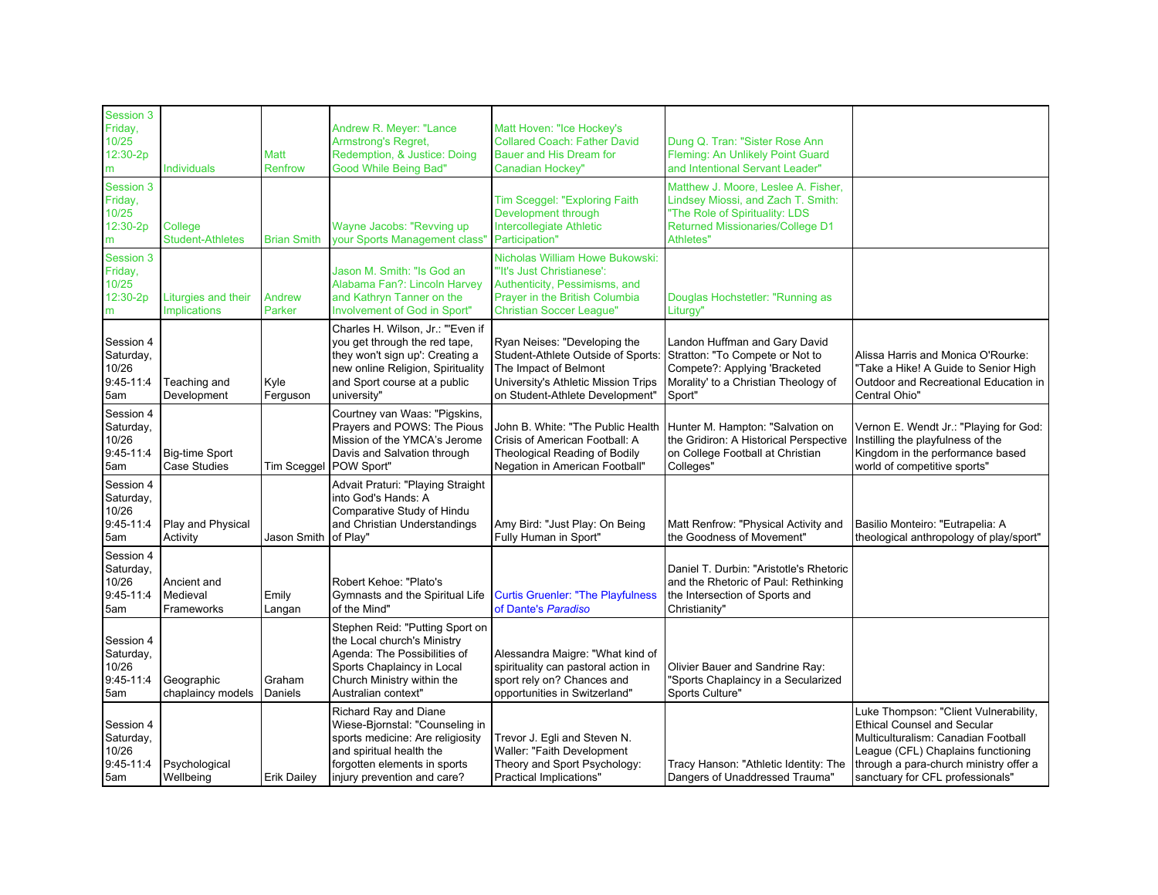| Session 3<br>Friday,<br>10/25<br>12:30-2p<br>m          | <b>Individuals</b>                           | Matt<br>Renfrow    | Andrew R. Meyer: "Lance<br><b>Armstrong's Regret,</b><br>Redemption, & Justice: Doing<br>Good While Being Bad"                                                                            | Matt Hoven: "Ice Hockey's<br><b>Collared Coach: Father David</b><br>Bauer and His Dream for<br>Canadian Hockey"                                                       | Dung Q. Tran: "Sister Rose Ann<br>Fleming: An Unlikely Point Guard<br>and Intentional Servant Leader"                                                               |                                                                                                                                                                                                                                        |
|---------------------------------------------------------|----------------------------------------------|--------------------|-------------------------------------------------------------------------------------------------------------------------------------------------------------------------------------------|-----------------------------------------------------------------------------------------------------------------------------------------------------------------------|---------------------------------------------------------------------------------------------------------------------------------------------------------------------|----------------------------------------------------------------------------------------------------------------------------------------------------------------------------------------------------------------------------------------|
| Session 3<br>Friday,<br>10/25<br>12:30-2p<br>m          | College<br><b>Student-Athletes</b>           | <b>Brian Smith</b> | Wayne Jacobs: "Revving up<br>your Sports Management class'                                                                                                                                | Tim Sceggel: "Exploring Faith<br>Development through<br>Intercollegiate Athletic<br>Participation"                                                                    | Matthew J. Moore, Leslee A. Fisher,<br>Lindsey Miossi, and Zach T. Smith:<br>'The Role of Spirituality: LDS<br><b>Returned Missionaries/College D1</b><br>Athletes" |                                                                                                                                                                                                                                        |
| <b>Session 3</b><br>Friday,<br>10/25<br>12:30-2p<br>m   | Liturgies and their<br><b>Implications</b>   | Andrew<br>Parker   | Jason M. Smith: "Is God an<br>Alabama Fan?: Lincoln Harvey<br>and Kathryn Tanner on the<br>Involvement of God in Sport"                                                                   | Nicholas William Howe Bukowski:<br>"It's Just Christianese":<br>Authenticity, Pessimisms, and<br>Prayer in the British Columbia<br><b>Christian Soccer League"</b>    | Douglas Hochstetler: "Running as<br>Liturgy"                                                                                                                        |                                                                                                                                                                                                                                        |
| Session 4<br>Saturday,<br>10/26<br>9:45-11:4<br>5am     | Teaching and<br>Development                  | Kyle<br>Ferguson   | Charles H. Wilson, Jr.: "'Even if<br>you get through the red tape,<br>they won't sign up': Creating a<br>new online Religion, Spirituality<br>and Sport course at a public<br>university" | Ryan Neises: "Developing the<br>Student-Athlete Outside of Sports:<br>The Impact of Belmont<br>University's Athletic Mission Trips<br>on Student-Athlete Development" | Landon Huffman and Gary David<br>Stratton: "To Compete or Not to<br>Compete?: Applying 'Bracketed<br>Morality' to a Christian Theology of<br>Sport"                 | Alissa Harris and Monica O'Rourke:<br>"Take a Hike! A Guide to Senior High<br>Outdoor and Recreational Education in<br>Central Ohio"                                                                                                   |
| Session 4<br>Saturday,<br>10/26<br>$9:45 - 11:4$<br>5am | <b>Big-time Sport</b><br><b>Case Studies</b> | Tim Sceggel        | Courtney van Waas: "Pigskins,<br>Prayers and POWS: The Pious<br>Mission of the YMCA's Jerome<br>Davis and Salvation through<br>POW Sport"                                                 | John B. White: "The Public Health<br>Crisis of American Football: A<br>Theological Reading of Bodily<br>Negation in American Football"                                | Hunter M. Hampton: "Salvation on<br>the Gridiron: A Historical Perspective<br>on College Football at Christian<br>Colleges"                                         | Vernon E. Wendt Jr.: "Playing for God:<br>Instilling the playfulness of the<br>Kingdom in the performance based<br>world of competitive sports"                                                                                        |
| Session 4<br>Saturday,<br>10/26<br>$9:45-11:4$<br>5am   | Play and Physical<br>Activity                | Jason Smith        | Advait Praturi: "Playing Straight<br>into God's Hands: A<br>Comparative Study of Hindu<br>and Christian Understandings<br>of Play"                                                        | Amy Bird: "Just Play: On Being<br>Fully Human in Sport"                                                                                                               | Matt Renfrow: "Physical Activity and<br>the Goodness of Movement"                                                                                                   | Basilio Monteiro: "Eutrapelia: A<br>theological anthropology of play/sport"                                                                                                                                                            |
| Session 4<br>Saturday,<br>10/26<br>$9:45-11:4$<br>5am   | Ancient and<br>Medieval<br>Frameworks        | Emily<br>Langan    | Robert Kehoe: "Plato's<br>Gymnasts and the Spiritual Life<br>of the Mind"                                                                                                                 | <b>Curtis Gruenler: "The Playfulness</b><br>of Dante's Paradiso                                                                                                       | Daniel T. Durbin: "Aristotle's Rhetoric<br>and the Rhetoric of Paul: Rethinking<br>the Intersection of Sports and<br>Christianity"                                  |                                                                                                                                                                                                                                        |
| Session 4<br>Saturday,<br>10/26<br>$9:45-11:4$<br>5am   | Geographic<br>chaplaincy models              | Graham<br>Daniels  | Stephen Reid: "Putting Sport on<br>the Local church's Ministry<br>Agenda: The Possibilities of<br>Sports Chaplaincy in Local<br>Church Ministry within the<br>Australian context"         | Alessandra Maigre: "What kind of<br>spirituality can pastoral action in<br>sport rely on? Chances and<br>opportunities in Switzerland"                                | Olivier Bauer and Sandrine Ray:<br>'Sports Chaplaincy in a Secularized<br><b>Sports Culture"</b>                                                                    |                                                                                                                                                                                                                                        |
| Session 4<br>Saturday,<br>10/26<br>$9:45-11:4$<br>5am   | Psychological<br>Wellbeing                   | <b>Erik Dailey</b> | Richard Ray and Diane<br>Wiese-Bjornstal: "Counseling in<br>sports medicine: Are religiosity<br>and spiritual health the<br>forgotten elements in sports<br>injury prevention and care?   | Trevor J. Egli and Steven N.<br>Waller: "Faith Development<br>Theory and Sport Psychology:<br>Practical Implications"                                                 | Tracy Hanson: "Athletic Identity: The<br>Dangers of Unaddressed Trauma"                                                                                             | Luke Thompson: "Client Vulnerability,<br><b>Ethical Counsel and Secular</b><br>Multiculturalism: Canadian Football<br>League (CFL) Chaplains functioning<br>through a para-church ministry offer a<br>sanctuary for CFL professionals" |